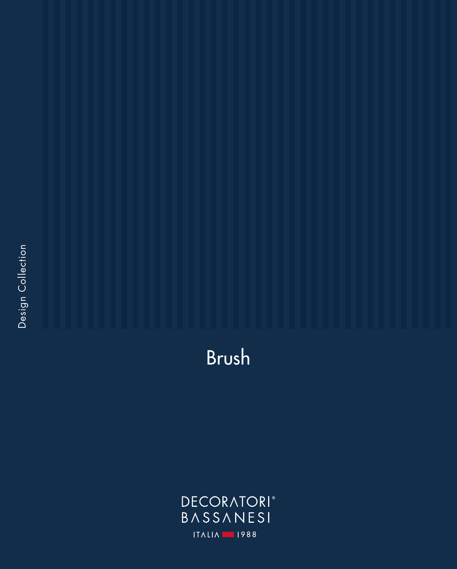## Brush

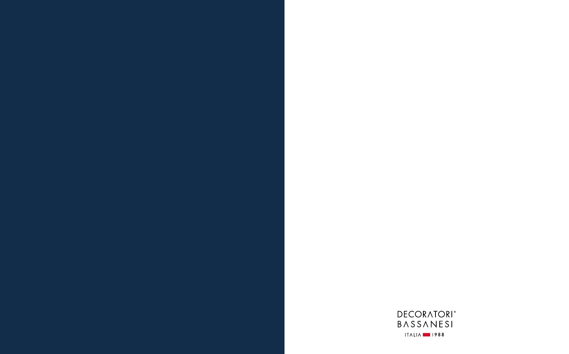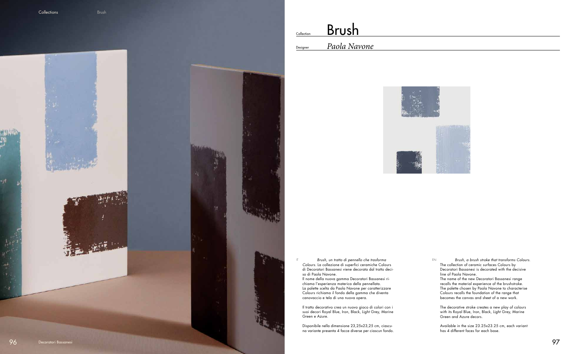| Collection | <b>Brush</b> |
|------------|--------------|
| Designer   | Paola Navone |

*Brush, un tratto di pennello che trasforma*  IT EN *Colours.* La collezione di superfici ceramiche Colours di Decoratori Bassanesi viene decorata dal tratto deciso di Paola Navone.

Il nome della nuova gamma Decoratori Bassanesi richiama l'esperienza materica della pennellata. La palette scelta da Paola Navone per caratterizzare Colours richiama il fondo della gamma che diventa canovaccio e tela di una nuova opera.

Il tratto decorativo crea un nuovo gioco di colori con i suoi decori Royal Blue, Iron, Black, Light Grey, Marine Green e Azure.

Disponibile nella dimensione 23,25x23,25 cm, ciascuna variante presenta 4 facce diverse per ciascun fondo.



*Brush, a brush stroke that transforms Colours.*  The collection of ceramic surfaces Colours by Decoratori Bassanesi is decorated with the decisive line of Paola Navone. The name of the new Decoratori Bassanesi range recalls the material experience of the brushstroke. The palette chosen by Paola Navone to characterise Colours recalls the foundation of the range that becomes the canvas and sheet of a new work.

The decorative stroke creates a new play of colours with its Royal Blue, Iron, Black, Light Grey, Marine Green and Azure decors.

Available in the size 23.25x23.25 cm, each variant has 4 different faces for each base.

**Collections** Brush

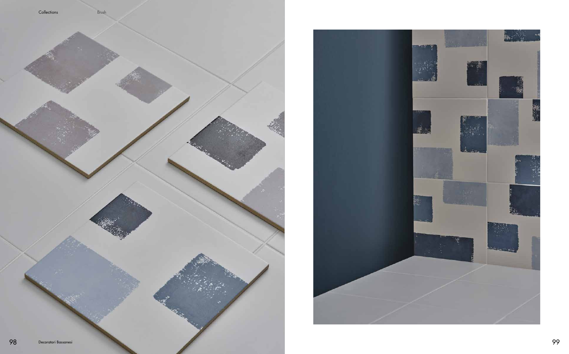



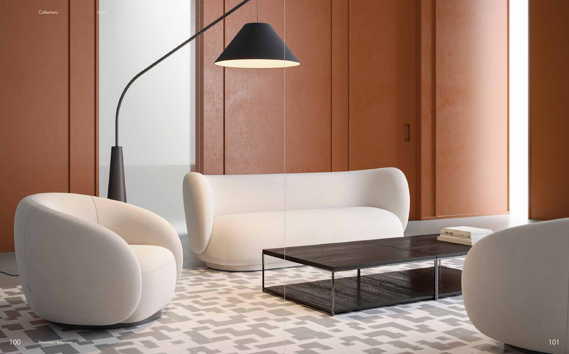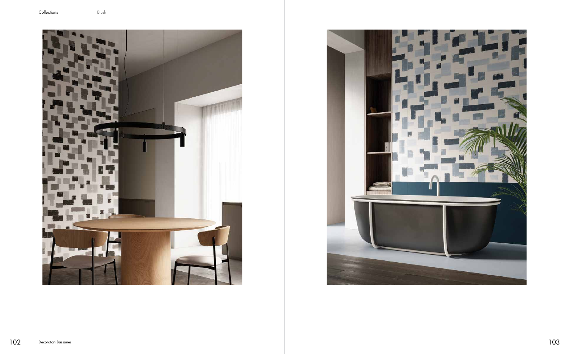

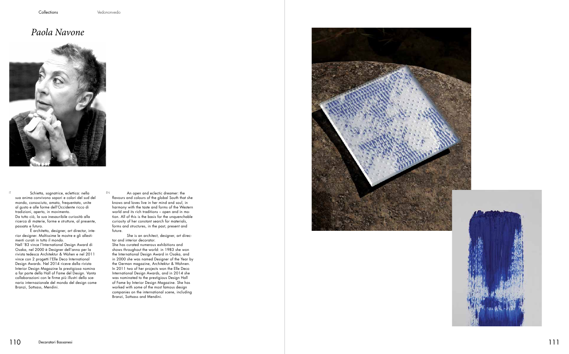She is an architect, designer, art director and interior decorator.

An open and eclectic dreamer: the flavours and colours of the global South that she knows and loves live in her mind and soul, in harmony with the taste and forms of the Western world and its rich traditions – open and in motion. All of this is the basis for the unquenchable curiosity of her constant search for materials, forms and structures, in the past, present and future. EN

She has curated numerous exhibitions and shows throughout the world: in 1983 she won the International Design Award in Osaka, and in 2000 she was named Designer of the Year by the German magazine, Architektur & Wohnen. In 2011 two of her projects won the Elle Deco International Design Awards, and in 2014 she was nominated to the prestigious Design Hall of Fame by Interior Design Magazine. She has worked with some of the most famous design companies on the international scene, including Branzi, Sottsass and Mendini.



### *Paola Navone*



IT Schietta, sognatrice, eclettica: nella sua anima convivono sapori e colori del sud del mondo, conosciuto, amato, frequentato, unite al gusto e alle forme dell'Occidente ricco di tradizioni, aperto, in movimento. Da tutto ciò, la sua inesauribile curiosità alla ricerca di materie, forme e strutture, al presente,

passato e futuro. È architetto, designer, art director, interior designer. Moltissime le mostre e gli allestimenti curati in tutto il mondo.

Nell '83 vince l'International Design Award di Osaka, nel 2000 è Designer dell'anno per la rivista tedesca Architektur & Wohen e nel 2011 vince con 2 progetti l'Elle Deco International Design Awards. Nel 2014 riceve dalla rivista Interior Design Magazine la prestigiosa nomina a far parte della Hall of Fame del Design. Vanta collaborazioni con le firme più illustri dello scenario internazionale del mondo del design come Branzi, Sottsass, Mendini.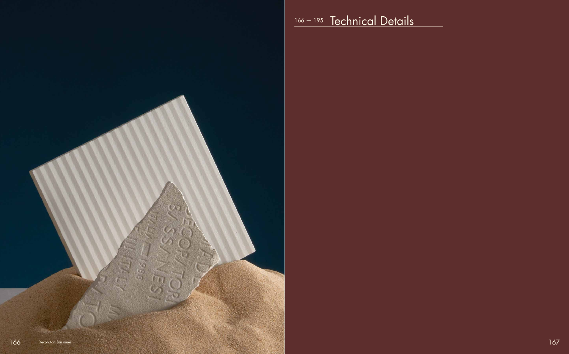

# 166 – 195 Technical Details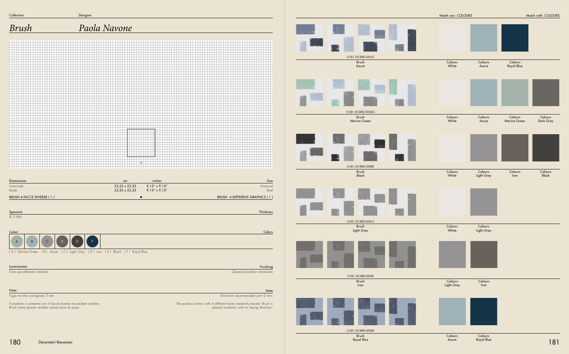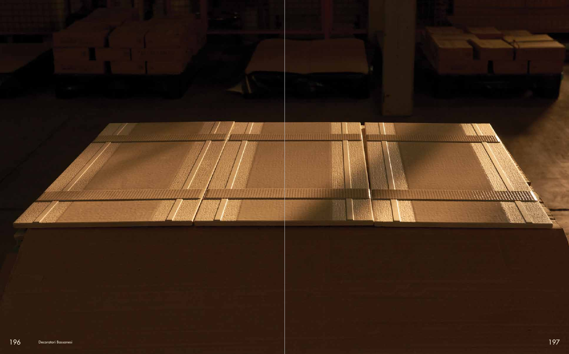![](_page_9_Picture_0.jpeg)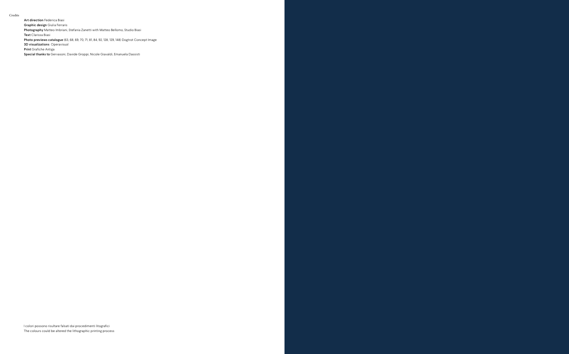#### Credits

Art direction Federica Biasi

Graphic design Giulia Ferraris

Photography Matteo Imbriani, Stefania Zanetti with Matteo Bellomo, Studio Biasi

Text Clarissa Biasi

Photo previews catalogue (63, 68, 69, 70, 71, 81, 84, 92, 128, 129, 148) Dogtrot Concept Image

3D visualizations Operavisual

Print Grafiche Antiga

Special thanks to Gervasoni, Davide Groppi, Nicole Giavaldi, Emanuela Dassisti